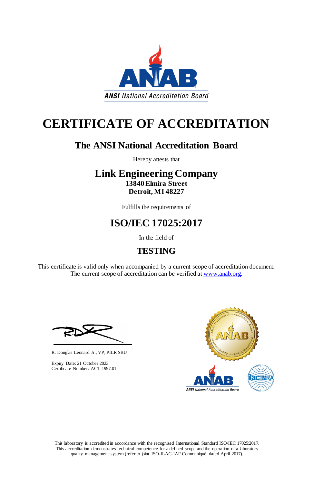This laboratory is accredited in accordance with the recognized International Standard ISO/IEC 17025:2017. This accreditation demonstrates technical competence for a defined scope and the operation of a laboratory quality management system (refer to joint ISO-ILAC-IAF Communiqué dated April 2017).

This certificate is valid only when accompanied by a current scope of accreditation document. The current scope of accreditation can be verified at [www.anab.org.](http://www.anab.org/)





# **CERTIFICATE OF ACCREDITATION**

### **The ANSI National Accreditation Board**

Hereby attests that

### **Link Engineering Company 13840 Elmira Street Detroit, MI 48227**

Fulfills the requirements of

## **ISO/IEC 17025:2017**

In the field of

### **TESTING**

R. Douglas Leonard Jr., VP, PILR SBU



Expiry Date: 21 October 2023 Certificate Number: ACT-1997.01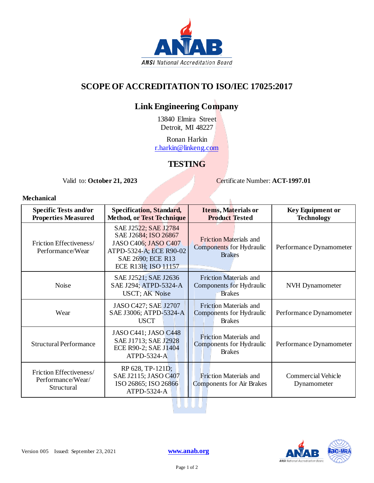

#### **SCOPE OF ACCREDITATION TO ISO/IEC 17025:2017**

### **Link Engineering Company**

13840 Elmira Street Detroit, MI 48227

Ronan Harkin [r.harkin@linkeng.com](mailto:t.woychowski@linkeng.com)

#### **TESTING**

Valid to: October 21, 2023<br>
Certificate Number: **ACT-1997.01** 

ĥ.

#### **Mechanical**

| <b>Specific Tests and/or</b><br><b>Properties Measured</b> | <b>Specification, Standard,</b><br><b>Method, or Test Technique</b>                                                                         | <b>Items, Materials or</b><br><b>Product Tested</b>                               | <b>Key Equipment or</b><br><b>Technology</b> |
|------------------------------------------------------------|---------------------------------------------------------------------------------------------------------------------------------------------|-----------------------------------------------------------------------------------|----------------------------------------------|
| Friction Effectiveness/<br>Performance/Wear                | SAE J2522; SAE J2784<br>SAE J2684; ISO 26867<br>JASO C406; JASO C407<br>ATPD-5324-A; ECE R90-02<br>SAE 2690; ECE R13<br>ECE R13H; ISO-11157 | <b>Friction Materials and</b><br><b>Components</b> for Hydraulic<br><b>Brakes</b> | Performance Dynamometer                      |
| <b>Noise</b>                                               | SAE J2521; SAE J2636<br>SAE J294; ATPD-5324-A<br><b>USCT</b> ; AK Noise                                                                     | <b>Friction Materials and</b><br>Components for Hydraulic<br><b>Brakes</b>        | <b>NVH</b> Dynamometer                       |
| Wear                                                       | JASO C427; SAE J2707<br>SAE J3006; ATPD-5324-A<br><b>USCT</b>                                                                               | <b>Friction Materials and</b><br>Components for Hydraulic<br><b>Brakes</b>        | Performance Dynamometer                      |
| <b>Structural Performance</b>                              | JASO C441; JASO C448<br>SAE J1713; SAE J2928<br>ECE R90-2; SAE J1404<br>ATPD-5324-A                                                         | <b>Friction Materials and</b><br>Components for Hydraulic<br><b>Brakes</b>        | Performance Dynamometer                      |
| Friction Effectiveness/<br>Performance/Wear/<br>Structural | RP 628, TP-121D;<br>SAE J2115; JASO C407<br>ISO 26865; ISO 26866<br>ATPD-5324-A                                                             | <b>Friction Materials and</b><br><b>Components for Air Brakes</b>                 | Commercial Vehicle<br>Dynamometer            |